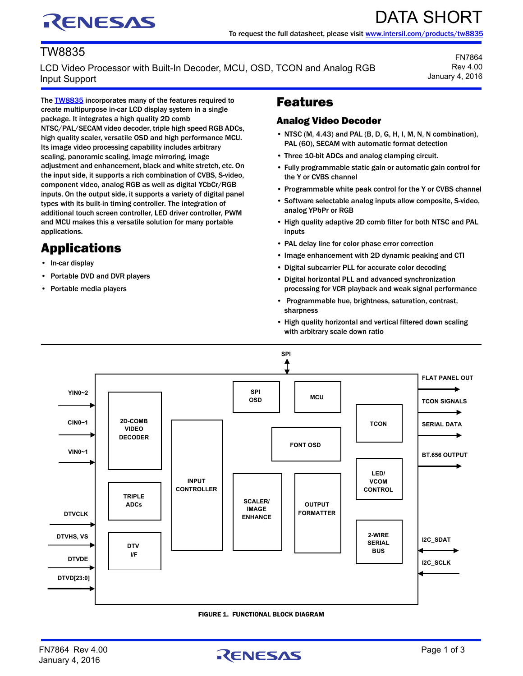# RENESAS

## TW8835

LCD Video Processor with Built-In Decoder, MCU, OSD, TCON and Analog RGB Input Support

FN7864 Rev 4.00 January 4, 2016

DATA SHORT

The **TW8835** incorporates many of the features required to create multipurpose in-car LCD display system in a single package. It integrates a high quality 2D comb NTSC/PAL/SECAM video decoder, triple high speed RGB ADCs, high quality scaler, versatile OSD and high performance MCU. Its image video processing capability includes arbitrary scaling, panoramic scaling, image mirroring, image adjustment and enhancement, black and white stretch, etc. On the input side, it supports a rich combination of CVBS, S-video, component video, analog RGB as well as digital YCbCr/RGB inputs. On the output side, it supports a variety of digital panel types with its built-in timing controller. The integration of additional touch screen controller, LED driver controller, PWM and MCU makes this a versatile solution for many portable applications.

## Applications

- In-car display
- Portable DVD and DVR players
- Portable media players

## Features

#### Analog Video Decoder

- NTSC (M, 4.43) and PAL (B, D, G, H, I, M, N, N combination), PAL (60), SECAM with automatic format detection
- Three 10-bit ADCs and analog clamping circuit.
- Fully programmable static gain or automatic gain control for the Y or CVBS channel
- Programmable white peak control for the Y or CVBS channel
- Software selectable analog inputs allow composite, S-video, analog YPbPr or RGB
- High quality adaptive 2D comb filter for both NTSC and PAL inputs
- PAL delay line for color phase error correction
- Image enhancement with 2D dynamic peaking and CTI
- Digital subcarrier PLL for accurate color decoding
- Digital horizontal PLL and advanced synchronization processing for VCR playback and weak signal performance
- Programmable hue, brightness, saturation, contrast, sharpness
- High quality horizontal and vertical filtered down scaling with arbitrary scale down ratio



#### FIGURE 1. FUNCTIONAL BLOCK DIAGRAM

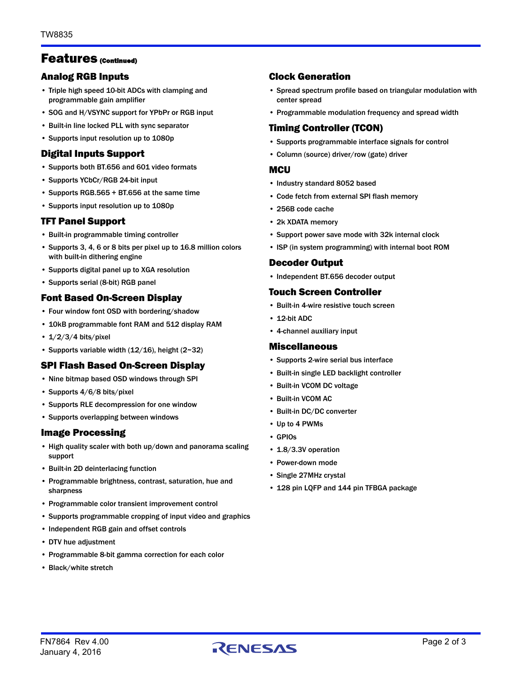### Features (Continued)

#### Analog RGB Inputs

- Triple high speed 10-bit ADCs with clamping and programmable gain amplifier
- SOG and H/VSYNC support for YPbPr or RGB input
- Built-in line locked PLL with sync separator
- Supports input resolution up to 1080p

#### Digital Inputs Support

- Supports both BT.656 and 601 video formats
- Supports YCbCr/RGB 24-bit input
- Supports RGB.565 + BT.656 at the same time
- Supports input resolution up to 1080p

#### TFT Panel Support

- Built-in programmable timing controller
- Supports 3, 4, 6 or 8 bits per pixel up to 16.8 million colors with built-in dithering engine
- Supports digital panel up to XGA resolution
- Supports serial (8-bit) RGB panel

#### Font Based On-Screen Display

- Four window font OSD with bordering/shadow
- 10kB programmable font RAM and 512 display RAM
- $1/2/3/4$  bits/pixel
- Supports variable width  $(12/16)$ , height  $(2~32)$

#### SPI Flash Based On-Screen Display

- Nine bitmap based OSD windows through SPI
- Supports 4/6/8 bits/pixel
- Supports RLE decompression for one window
- Supports overlapping between windows

#### Image Processing

- High quality scaler with both up/down and panorama scaling support
- Built-in 2D deinterlacing function
- Programmable brightness, contrast, saturation, hue and sharpness
- Programmable color transient improvement control
- Supports programmable cropping of input video and graphics
- Independent RGB gain and offset controls
- DTV hue adjustment
- Programmable 8-bit gamma correction for each color
- Black/white stretch

#### Clock Generation

- Spread spectrum profile based on triangular modulation with center spread
- Programmable modulation frequency and spread width

#### Timing Controller (TCON)

- Supports programmable interface signals for control
- Column (source) driver/row (gate) driver

#### **MCU**

- Industry standard 8052 based
- Code fetch from external SPI flash memory
- 256B code cache
- 2k XDATA memory
- Support power save mode with 32k internal clock
- ISP (in system programming) with internal boot ROM

#### Decoder Output

• Independent BT.656 decoder output

#### Touch Screen Controller

- Built-in 4-wire resistive touch screen
- 12-bit ADC
- 4-channel auxiliary input

#### Miscellaneous

- Supports 2-wire serial bus interface
- Built-in single LED backlight controller
- Built-in VCOM DC voltage
- Built-in VCOM AC
- Built-in DC/DC converter
- Up to 4 PWMs
- GPIOs
- 1.8/3.3V operation
- Power-down mode
- Single 27MHz crystal
- 128 pin LQFP and 144 pin TFBGA package